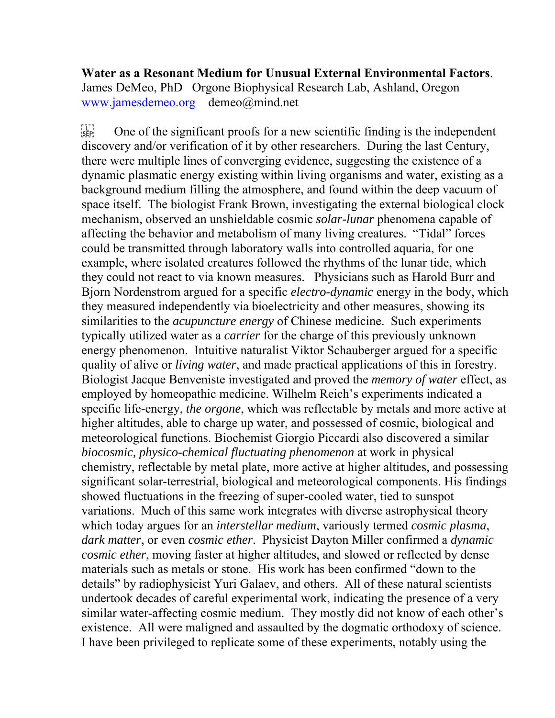**Water as a Resonant Medium for Unusual External Environmental Factors**. James DeMeo, PhD Orgone Biophysical Research Lab, Ashland, Oregon www.jamesdemeo.org demeo@mind.net

 $\sum_{s \in \mathbb{R}^n}$  One of the significant proofs for a new scientific finding is the independent discovery and/or verification of it by other researchers. During the last Century, there were multiple lines of converging evidence, suggesting the existence of a dynamic plasmatic energy existing within living organisms and water, existing as a background medium filling the atmosphere, and found within the deep vacuum of space itself. The biologist Frank Brown, investigating the external biological clock mechanism, observed an unshieldable cosmic *solar-lunar* phenomena capable of affecting the behavior and metabolism of many living creatures. "Tidal" forces could be transmitted through laboratory walls into controlled aquaria, for one example, where isolated creatures followed the rhythms of the lunar tide, which they could not react to via known measures. Physicians such as Harold Burr and Bjorn Nordenstrom argued for a specific *electro-dynamic* energy in the body, which they measured independently via bioelectricity and other measures, showing its similarities to the *acupuncture energy* of Chinese medicine. Such experiments typically utilized water as a *carrier* for the charge of this previously unknown energy phenomenon. Intuitive naturalist Viktor Schauberger argued for a specific quality of alive or *living water*, and made practical applications of this in forestry. Biologist Jacque Benveniste investigated and proved the *memory of water* effect, as employed by homeopathic medicine. Wilhelm Reich's experiments indicated a specific life-energy, *the orgone*, which was reflectable by metals and more active at higher altitudes, able to charge up water, and possessed of cosmic, biological and meteorological functions. Biochemist Giorgio Piccardi also discovered a similar *biocosmic, physico-chemical fluctuating phenomenon* at work in physical chemistry, reflectable by metal plate, more active at higher altitudes, and possessing significant solar-terrestrial, biological and meteorological components. His findings showed fluctuations in the freezing of super-cooled water, tied to sunspot variations. Much of this same work integrates with diverse astrophysical theory which today argues for an *interstellar medium*, variously termed *cosmic plasma*, *dark matter*, or even *cosmic ether*. Physicist Dayton Miller confirmed a *dynamic cosmic ether*, moving faster at higher altitudes, and slowed or reflected by dense materials such as metals or stone. His work has been confirmed "down to the details" by radiophysicist Yuri Galaev, and others. All of these natural scientists undertook decades of careful experimental work, indicating the presence of a very similar water-affecting cosmic medium. They mostly did not know of each other's existence. All were maligned and assaulted by the dogmatic orthodoxy of science. I have been privileged to replicate some of these experiments, notably using the